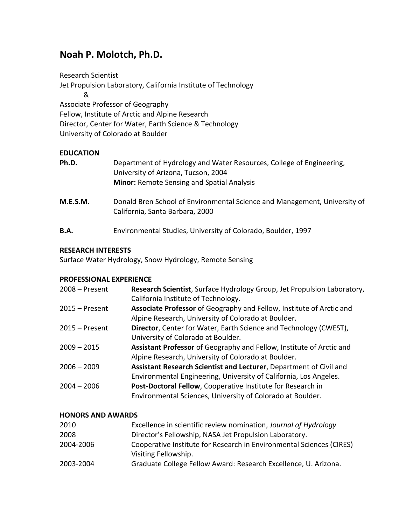# **Noah P. Molotch, Ph.D.**

Research Scientist Jet Propulsion Laboratory, California Institute of Technology & Associate Professor of Geography Fellow, Institute of Arctic and Alpine Research Director, Center for Water, Earth Science & Technology University of Colorado at Boulder

# **EDUCATION**

| Ph.D.       | Department of Hydrology and Water Resources, College of Engineering,<br>University of Arizona, Tucson, 2004<br><b>Minor:</b> Remote Sensing and Spatial Analysis |
|-------------|------------------------------------------------------------------------------------------------------------------------------------------------------------------|
| M.E.S.M.    | Donald Bren School of Environmental Science and Management, University of<br>California, Santa Barbara, 2000                                                     |
| <b>B.A.</b> | Environmental Studies, University of Colorado, Boulder, 1997                                                                                                     |

### **RESEARCH INTERESTS**

Surface Water Hydrology, Snow Hydrology, Remote Sensing

### **PROFESSIONAL EXPERIENCE**

| $2008 -$ Present | Research Scientist, Surface Hydrology Group, Jet Propulsion Laboratory,<br>California Institute of Technology.                          |
|------------------|-----------------------------------------------------------------------------------------------------------------------------------------|
| $2015 -$ Present | Associate Professor of Geography and Fellow, Institute of Arctic and<br>Alpine Research, University of Colorado at Boulder.             |
| $2015 -$ Present | Director, Center for Water, Earth Science and Technology (CWEST),<br>University of Colorado at Boulder.                                 |
| $2009 - 2015$    | Assistant Professor of Geography and Fellow, Institute of Arctic and<br>Alpine Research, University of Colorado at Boulder.             |
| $2006 - 2009$    | Assistant Research Scientist and Lecturer, Department of Civil and<br>Environmental Engineering, University of California, Los Angeles. |
| $2004 - 2006$    | Post-Doctoral Fellow, Cooperative Institute for Research in<br>Environmental Sciences, University of Colorado at Boulder.               |

### **HONORS AND AWARDS**

| 2010      | Excellence in scientific review nomination, Journal of Hydrology                             |
|-----------|----------------------------------------------------------------------------------------------|
| 2008      | Director's Fellowship, NASA Jet Propulsion Laboratory.                                       |
| 2004-2006 | Cooperative Institute for Research in Environmental Sciences (CIRES)<br>Visiting Fellowship. |
| 2003-2004 | Graduate College Fellow Award: Research Excellence, U. Arizona.                              |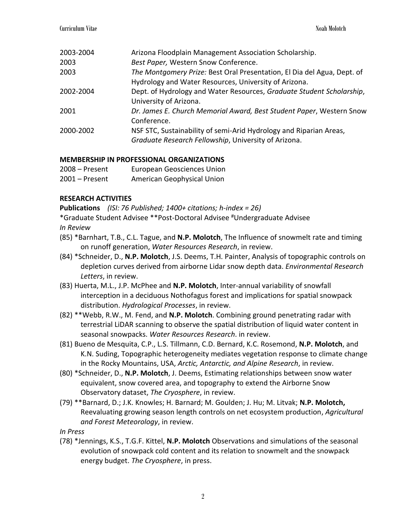| 2003-2004 | Arizona Floodplain Management Association Scholarship.                  |
|-----------|-------------------------------------------------------------------------|
| 2003      | Best Paper, Western Snow Conference.                                    |
| 2003      | The Montgomery Prize: Best Oral Presentation, El Dia del Agua, Dept. of |
|           | Hydrology and Water Resources, University of Arizona.                   |
| 2002-2004 | Dept. of Hydrology and Water Resources, Graduate Student Scholarship,   |
|           | University of Arizona.                                                  |
| 2001      | Dr. James E. Church Memorial Award, Best Student Paper, Western Snow    |
|           | Conference.                                                             |
| 2000-2002 | NSF STC, Sustainability of semi-Arid Hydrology and Riparian Areas,      |
|           | Graduate Research Fellowship, University of Arizona.                    |
|           |                                                                         |

# **MEMBERSHIP IN PROFESSIONAL ORGANIZATIONS**

| $2008 -$ Present | <b>European Geosciences Union</b> |
|------------------|-----------------------------------|
| $2001 -$ Present | American Geophysical Union        |

# **RESEARCH ACTIVITIES**

**Publications** *(ISI: 76 Published; 1400+ citations; h-index = 26)*

\*Graduate Student Advisee \*\*Post-Doctoral Advisee #Undergraduate Advisee

- *In Review*
- (85) \*Barnhart, T.B., C.L. Tague, and **N.P. Molotch**, The Influence of snowmelt rate and timing on runoff generation, *Water Resources Research*, in review.
- (84) \*Schneider, D., **N.P. Molotch**, J.S. Deems, T.H. Painter, Analysis of topographic controls on depletion curves derived from airborne Lidar snow depth data. *Environmental Research Letters*, in review.
- (83) Huerta, M.L., J.P. McPhee and **N.P. Molotch**, Inter-annual variability of snowfall interception in a deciduous Nothofagus forest and implications for spatial snowpack distribution. *Hydrological Processes*, in review.
- (82) \*\*Webb, R.W., M. Fend, and **N.P. Molotch**. Combining ground penetrating radar with terrestrial LiDAR scanning to observe the spatial distribution of liquid water content in seasonal snowpacks. *Water Resources Research*. in review.
- (81) Bueno de Mesquita, C.P., L.S. Tillmann, C.D. Bernard, K.C. Rosemond, **N.P. Molotch**, and K.N. Suding, Topographic heterogeneity mediates vegetation response to climate change in the Rocky Mountains, USA, *Arctic, Antarctic, and Alpine Research*, in review.
- (80) \*Schneider, D., **N.P. Molotch**, J. Deems, Estimating relationships between snow water equivalent, snow covered area, and topography to extend the Airborne Snow Observatory dataset, *The Cryosphere*, in review.
- (79) \*\*Barnard, D.; J.K. Knowles; H. Barnard; M. Goulden; J. Hu; M. Litvak; **N.P. Molotch,** Reevaluating growing season length controls on net ecosystem production, *Agricultural and Forest Meteorology*, in review.

*In Press*

(78) \*Jennings, K.S., T.G.F. Kittel, **N.P. Molotch** Observations and simulations of the seasonal evolution of snowpack cold content and its relation to snowmelt and the snowpack energy budget. *The Cryosphere*, in press.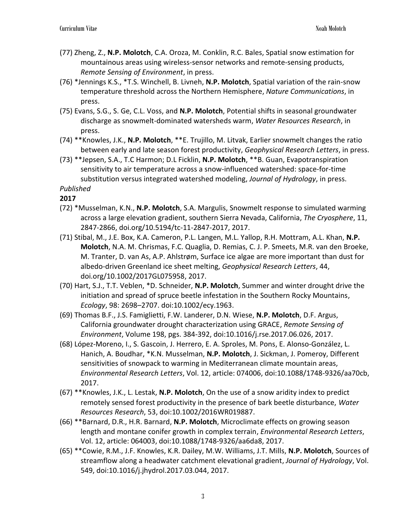- (77) Zheng, Z., **N.P. Molotch**, C.A. Oroza, M. Conklin, R.C. Bales, Spatial snow estimation for mountainous areas using wireless-sensor networks and remote-sensing products, *Remote Sensing of Environment*, in press.
- (76) \*Jennings K.S., \*T.S. Winchell, B. Livneh, **N.P. Molotch**, Spatial variation of the rain-snow temperature threshold across the Northern Hemisphere, *Nature Communications*, in press.
- (75) Evans, S.G., S. Ge, C.L. Voss, and **N.P. Molotch**, Potential shifts in seasonal groundwater discharge as snowmelt-dominated watersheds warm, *Water Resources Research*, in press.
- (74) \*\*Knowles, J.K., **N.P. Molotch**, \*\*E. Trujillo, M. Litvak, Earlier snowmelt changes the ratio between early and late season forest productivity, *Geophysical Research Letters*, in press.
- (73) \*\*Jepsen, S.A., T.C Harmon; D.L Ficklin, **N.P. Molotch**, \*\*B. Guan, Evapotranspiration sensitivity to air temperature across a snow-influenced watershed: space-for-time substitution versus integrated watershed modeling, *Journal of Hydrology*, in press. *Published*

- (72) \*Musselman, K.N., **N.P. Molotch**, S.A. Margulis, Snowmelt response to simulated warming across a large elevation gradient, southern Sierra Nevada, California, *The Cryosphere*, 11, 2847-2866, doi.org/10.5194/tc-11-2847-2017, 2017.
- (71) Stibal, M., J.E. Box, K.A. Cameron, P.L. Langen, M.L. Yallop, R.H. Mottram, A.L. Khan, **N.P. Molotch**, N.A. M. Chrismas, F.C. Quaglia, D. Remias, C. J. P. Smeets, M.R. van den Broeke, M. Tranter, D. van As, A.P. Ahlstrøm, Surface ice algae are more important than dust for albedo-driven Greenland ice sheet melting, *Geophysical Research Letters*, 44, doi.org/10.1002/2017GL075958, 2017.
- (70) Hart, S.J., T.T. Veblen, \*D. Schneider, **N.P. Molotch**, Summer and winter drought drive the initiation and spread of spruce beetle infestation in the Southern Rocky Mountains, *Ecology*, 98: 2698–2707. doi:10.1002/ecy.1963.
- (69) Thomas B.F., J.S. Famiglietti, F.W. Landerer, D.N. Wiese, **N.P. Molotch**, D.F. Argus, California groundwater drought characterization using GRACE, *Remote Sensing of Environment*, Volume 198, pgs. 384-392, doi:10.1016/j.rse.2017.06.026, 2017.
- (68) López-Moreno, I., S. Gascoin, J. Herrero, E. A. Sproles, M. Pons, E. Alonso-González, L. Hanich, A. Boudhar, \*K.N. Musselman, **N.P. Molotch**, J. Sickman, J. Pomeroy, Different sensitivities of snowpack to warming in Mediterranean climate mountain areas, *Environmental Research Letters*, Vol. 12, article: 074006, doi:10.1088/1748-9326/aa70cb, 2017.
- (67) \*\*Knowles, J.K., L. Lestak, **N.P. Molotch**, On the use of a snow aridity index to predict remotely sensed forest productivity in the presence of bark beetle disturbance, *Water Resources Research*, 53, doi:10.1002/2016WR019887.
- (66) \*\*Barnard, D.R., H.R. Barnard, **N.P. Molotch**, Microclimate effects on growing season length and montane conifer growth in complex terrain, *Environmental Research Letters*, Vol. 12, article: 064003, doi:10.1088/1748-9326/aa6da8, 2017.
- (65) \*\*Cowie, R.M., J.F. Knowles, K.R. Dailey, M.W. Williams, J.T. Mills, **N.P. Molotch**, Sources of streamflow along a headwater catchment elevational gradient, *Journal of Hydrology*, Vol. 549, doi:10.1016/j.jhydrol.2017.03.044, 2017.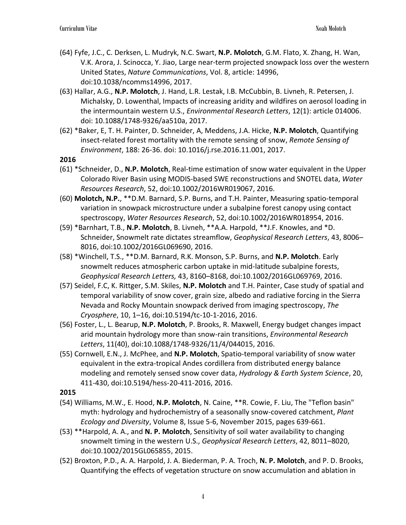- (64) Fyfe, J.C., C. Derksen, L. Mudryk, N.C. Swart, **N.P. Molotch**, G.M. Flato, X. Zhang, H. Wan, V.K. Arora, J. Scinocca, Y. Jiao, Large near-term projected snowpack loss over the western United States, *Nature Communications*, Vol. 8, article: 14996, doi:10.1038/ncomms14996, 2017.
- (63) Hallar, A.G., **N.P. Molotch**, J. Hand, L.R. Lestak, I.B. McCubbin, B. Livneh, R. Petersen, J. Michalsky, D. Lowenthal, Impacts of increasing aridity and wildfires on aerosol loading in the intermountain western U.S., *Environmental Research Letters*, 12(1): article 014006. doi: 10.1088/1748-9326/aa510a, 2017.
- (62) \*Baker, E, T. H. Painter, D. Schneider, A, Meddens, J.A. Hicke, **N.P. Molotch**, Quantifying insect-related forest mortality with the remote sensing of snow, *Remote Sensing of Environment*, 188: 26-36. doi: 10.1016/j.rse.2016.11.001, 2017.

- (61) \*Schneider, D., **N.P. Molotch**, Real-time estimation of snow water equivalent in the Upper Colorado River Basin using MODIS-based SWE reconstructions and SNOTEL data, *Water Resources Research*, 52, doi:10.1002/2016WR019067, 2016.
- (60) **Molotch, N.P.**, \*\*D.M. Barnard, S.P. Burns, and T.H. Painter, Measuring spatio-temporal variation in snowpack microstructure under a subalpine forest canopy using contact spectroscopy, *Water Resources Research*, 52, doi:10.1002/2016WR018954, 2016.
- (59) \*Barnhart, T.B., **N.P. Molotch**, B. Livneh, \*\*A.A. Harpold, \*\*J.F. Knowles, and \*D. Schneider, Snowmelt rate dictates streamflow, *Geophysical Research Letters*, 43, 8006– 8016, doi:10.1002/2016GL069690, 2016.
- (58) \*Winchell, T.S., \*\*D.M. Barnard, R.K. Monson, S.P. Burns, and **N.P. Molotch**. Early snowmelt reduces atmospheric carbon uptake in mid-latitude subalpine forests, *Geophysical Research Letters,* 43, 8160–8168, doi:10.1002/2016GL069769, 2016.
- (57) Seidel, F.C, K. Rittger, S.M. Skiles, **N.P. Molotch** and T.H. Painter, Case study of spatial and temporal variability of snow cover, grain size, albedo and radiative forcing in the Sierra Nevada and Rocky Mountain snowpack derived from imaging spectroscopy, *The Cryosphere*, 10, 1–16, doi:10.5194/tc-10-1-2016, 2016.
- (56) Foster, L., L. Bearup, **N.P. Molotch**, P. Brooks, R. Maxwell, Energy budget changes impact arid mountain hydrology more than snow-rain transitions, *Environmental Research Letters*, 11(40), doi:10.1088/1748-9326/11/4/044015, 2016.
- (55) Cornwell, E.N., J. McPhee, and **N.P. Molotch**, Spatio-temporal variability of snow water equivalent in the extra-tropical Andes cordillera from distributed energy balance modeling and remotely sensed snow cover data, *Hydrology & Earth System Science*, 20, 411-430, doi:10.5194/hess-20-411-2016, 2016.

- (54) Williams, M.W., E. Hood, **N.P. Molotch**, N. Caine, \*\*R. Cowie, F. Liu, The "Teflon basin" myth: hydrology and hydrochemistry of a seasonally snow-covered catchment, *Plant Ecology and Diversity*, Volume 8, Issue 5-6, November 2015, pages 639-661.
- (53) \*\*Harpold, A. A., and **N. P. Molotch**, Sensitivity of soil water availability to changing snowmelt timing in the western U.S., *Geophysical Research Letters*, 42, 8011–8020, doi:10.1002/2015GL065855, 2015.
- (52) Broxton, P.D., A. A. Harpold, J. A. Biederman, P. A. Troch, **N. P. Molotch**, and P. D. Brooks, Quantifying the effects of vegetation structure on snow accumulation and ablation in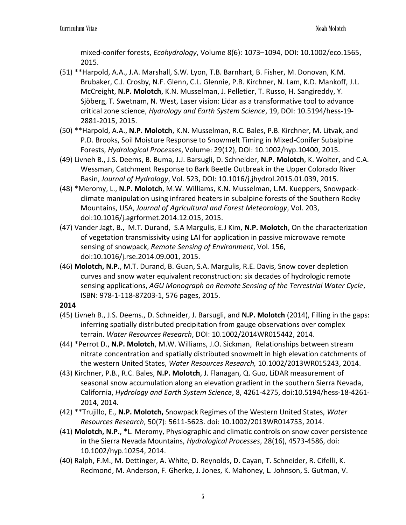mixed-conifer forests, *Ecohydrology*, Volume 8(6): 1073–1094, DOI: 10.1002/eco.1565, 2015.

- (51) \*\*Harpold, A.A., J.A. Marshall, S.W. Lyon, T.B. Barnhart, B. Fisher, M. Donovan, K.M. Brubaker, C.J. Crosby, N.F. Glenn, C.L. Glennie, P.B. Kirchner, N. Lam, K.D. Mankoff, J.L. McCreight, **N.P. Molotch**, K.N. Musselman, J. Pelletier, T. Russo, H. Sangireddy, Y. Sjöberg, T. Swetnam, N. West, Laser vision: Lidar as a transformative tool to advance critical zone science, *Hydrology and Earth System Science*, 19, DOI: 10.5194/hess-19- 2881-2015, 2015.
- (50) \*\*Harpold, A.A., **N.P. Molotch**, K.N. Musselman, R.C. Bales, P.B. Kirchner, M. Litvak, and P.D. Brooks, Soil Moisture Response to Snowmelt Timing in Mixed-Conifer Subalpine Forests, *Hydrological Processes*, Volume: 29(12), DOI: 10.1002/hyp.10400, 2015.
- (49) Livneh B., J.S. Deems, B. Buma, J.J. Barsugli, D. Schneider, **N.P. Molotch**, K. Wolter, and C.A. Wessman, Catchment Response to Bark Beetle Outbreak in the Upper Colorado River Basin, *Journal of Hydrology*, Vol. 523, DOI: 10.1016/j.jhydrol.2015.01.039, 2015.
- (48) \*Meromy, L., **N.P. Molotch**, M.W. Williams, K.N. Musselman, L.M. Kueppers, Snowpackclimate manipulation using infrared heaters in subalpine forests of the Southern Rocky Mountains, USA, *Journal of Agricultural and Forest Meteorology*, Vol. 203, doi:10.1016/j.agrformet.2014.12.015, 2015.
- (47) Vander Jagt, B., M.T. Durand, S.A Margulis, E.J Kim, **N.P. Molotch**, On the characterization of vegetation transmissivity using LAI for application in passive microwave remote sensing of snowpack, *Remote Sensing of Environment*, Vol. 156, doi:10.1016/j.rse.2014.09.001, 2015.
- (46) **Molotch, N.P.**, M.T. Durand, B. Guan, S.A. Margulis, R.E. Davis, Snow cover depletion curves and snow water equivalent reconstruction: six decades of hydrologic remote sensing applications, *AGU Monograph on Remote Sensing of the Terrestrial Water Cycle*, ISBN: 978-1-118-87203-1, 576 pages, 2015.

- (45) Livneh B., J.S. Deems., D. Schneider, J. Barsugli, and **N.P. Molotch** (2014), Filling in the gaps: inferring spatially distributed precipitation from gauge observations over complex terrain. *Water Resources Research*, DOI: 10.1002/2014WR015442, 2014.
- (44) \*Perrot D., **N.P. Molotch**, M.W. Williams, J.O. Sickman, Relationships between stream nitrate concentration and spatially distributed snowmelt in high elevation catchments of the western United States, *Water Resources Research,* 10.1002/2013WR015243, 2014.
- (43) Kirchner, P.B., R.C. Bales, **N.P. Molotch**, J. Flanagan, Q. Guo, LiDAR measurement of seasonal snow accumulation along an elevation gradient in the southern Sierra Nevada, California, *Hydrology and Earth System Science*, 8, 4261-4275, doi:10.5194/hess-18-4261- 2014, 2014.
- (42) \*\*Trujillo, E., **N.P. Molotch,** Snowpack Regimes of the Western United States, *Water Resources Research*, 50(7): 5611-5623. doi: 10.1002/2013WR014753, 2014.
- (41) **Molotch, N.P.**, \*L. Meromy, Physiographic and climatic controls on snow cover persistence in the Sierra Nevada Mountains, *Hydrological Processes*, 28(16), 4573-4586, doi: 10.1002/hyp.10254, 2014.
- (40) Ralph, F.M., M. Dettinger, A. White, D. Reynolds, D. Cayan, T. Schneider, R. Cifelli, K. Redmond, M. Anderson, F. Gherke, J. Jones, K. Mahoney, L. Johnson, S. Gutman, V.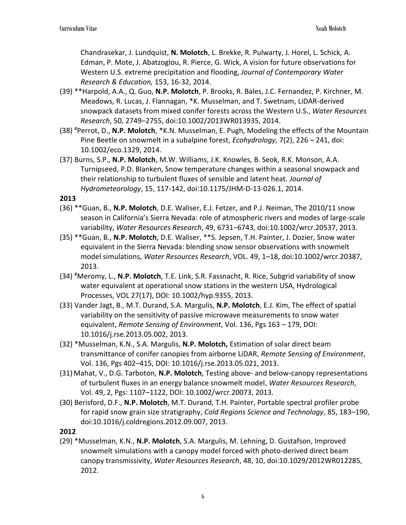Chandrasekar, J. Lundquist, **N. Molotch**, L. Brekke, R. Pulwarty, J. Horel, L. Schick, A. Edman, P. Mote, J. Abatzoglou, R. Pierce, G. Wick, A vision for future observations for Western U.S. extreme precipitation and flooding, *Journal of Contemporary Water Research & Education,* 153, 16-32, 2014.

- (39) \*\*Harpold, A.A., Q. Guo, **N.P. Molotch**, P. Brooks, R. Bales, J.C. Fernandez, P. Kirchner, M. Meadows, R. Lucas, J. Flannagan, \*K. Musselman, and T. Swetnam, LiDAR-derived snowpack datasets from mixed conifer forests across the Western U.S., *Water Resources Research*, 50, 2749–2755, doi:10.1002/2013WR013935, 2014.
- (38) #Perrot, D., **N.P. Molotch**, \*K.N. Musselman, E. Pugh, Modeling the effects of the Mountain Pine Beetle on snowmelt in a subalpine forest, *Ecohydrology*, 7(2), 226 – 241, doi: 10.1002/eco.1329, 2014.
- (37) Burns, S.P., **N.P. Molotch**, M.W. Williams, J.K. Knowles, B. Seok, R.K. Monson, A.A. Turnipseed, P.D. Blanken, Snow temperature changes within a seasonal snowpack and their relationship to turbulent fluxes of sensible and latent heat. *Journal of Hydrometeorology*, 15, 117-142, doi:10.1175/JHM-D-13-026.1, 2014.

### **2013**

- (36) \*\*Guan, B., **N.P. Molotch**, D.E. Waliser, E.J. Fetzer, and P.J. Neiman, The 2010/11 snow season in California's Sierra Nevada: role of atmospheric rivers and modes of large-scale variability, *Water Resources Research*, 49, 6731–6743, doi:10.1002/wrcr.20537, 2013.
- (35) \*\*Guan, B., **N.P. Molotch**, D.E. Waliser, \*\*S. Jepsen, T.H. Painter, J. Dozier, Snow water equivalent in the Sierra Nevada: blending snow sensor observations with snowmelt model simulations, *Water Resources Research*, VOL. 49, 1–18, doi:10.1002/wrcr.20387, 2013.
- (34) #Meromy, L., **N.P. Molotch**, T.E. Link, S.R. Fassnacht, R. Rice, Subgrid variability of snow water equivalent at operational snow stations in the western USA, Hydrological Processes, VOL 27(17), DOI: 10.1002/hyp.9355, 2013.
- (33) Vander Jagt, B., M.T. Durand, S.A. Margulis, **N.P. Molotch**, E.J. Kim, The effect of spatial variability on the sensitivity of passive microwave measurements to snow water equivalent, *Remote Sensing of Environment*, Vol. 136, Pgs 163 – 179, DOI: 10.1016/j.rse.2013.05.002, 2013.
- (32) \*Musselman, K.N., S.A. Margulis, **N.P. Molotch,** Estimation of solar direct beam transmittance of conifer canopies from airborne LiDAR, *Remote Sensing of Environment*, Vol. 136, Pgs 402–415, DOI: 10.1016/j.rse.2013.05.021, 2013.
- (31) Mahat, V., D.G. Tarboton, **N.P. Molotch**, Testing above- and below-canopy representations of turbulent fluxes in an energy balance snowmelt model, *Water Resources Research*, Vol. 49, 2, Pgs: 1107–1122, DOI: 10.1002/wrcr.20073, 2013.
- (30) Berisford, D.F., **N.P. Molotch**, M.T. Durand, T.H. Painter, Portable spectral profiler probe for rapid snow grain size stratigraphy, *Cold Regions Science and Technology*, 85, 183–190, doi:10.1016/j.coldregions.2012.09.007, 2013.

### **2012**

(29) \*Musselman, K.N., **N.P. Molotch**, S.A. Margulis, M. Lehning, D. Gustafson, Improved snowmelt simulations with a canopy model forced with photo-derived direct beam canopy transmissivity, *Water Resources Research*, 48, 10, doi:10.1029/2012WR012285, 2012.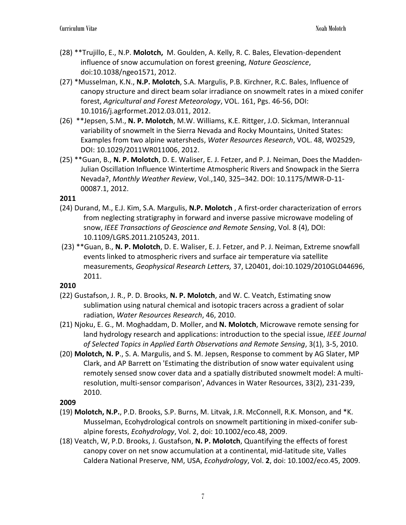- (28) \*\*Trujillo, E., N.P. **Molotch,** M. Goulden, A. Kelly, R. C. Bales, Elevation-dependent influence of snow accumulation on forest greening, *Nature Geoscience*, doi:10.1038/ngeo1571, 2012.
- (27) \*Musselman, K.N., **N.P. Molotch**, S.A. Margulis, P.B. Kirchner, R.C. Bales, Influence of canopy structure and direct beam solar irradiance on snowmelt rates in a mixed conifer forest, *Agricultural and Forest Meteorology*, VOL. 161, Pgs. 46-56, DOI: 10.1016/j.agrformet.2012.03.011, 2012.
- (26) \*\*Jepsen, S.M., **N. P. Molotch**, M.W. Williams, K.E. Rittger, J.O. Sickman, Interannual variability of snowmelt in the Sierra Nevada and Rocky Mountains, United States: Examples from two alpine watersheds, *Water Resources Research*, VOL. 48, W02529, DOI: 10.1029/2011WR011006, 2012.
- (25) \*\*Guan, B., **N. P. Molotch**, D. E. Waliser, E. J. Fetzer, and P. J. Neiman, Does the Madden-Julian Oscillation Influence Wintertime Atmospheric Rivers and Snowpack in the Sierra Nevada?, *Monthly Weather Review*, Vol.,140, 325–342. DOI: 10.1175/MWR-D-11- 00087.1, 2012.

- (24) Durand, M., E.J. Kim, S.A. Margulis, **N.P. Molotch** , A first-order characterization of errors from neglecting stratigraphy in forward and inverse passive microwave modeling of snow, *IEEE Transactions of Geoscience and Remote Sensing*, Vol. 8 (4), DOI: 10.1109/LGRS.2011.2105243, 2011.
- (23) \*\*Guan, B., **N. P. Molotch**, D. E. Waliser, E. J. Fetzer, and P. J. Neiman, Extreme snowfall events linked to atmospheric rivers and surface air temperature via satellite measurements, *Geophysical Research Letters,* 37, L20401, doi:10.1029/2010GL044696, 2011.

# **2010**

- (22) Gustafson, J. R., P. D. Brooks, **N. P. Molotch**, and W. C. Veatch, Estimating snow sublimation using natural chemical and isotopic tracers across a gradient of solar radiation, *Water Resources Research*, 46, 2010.
- (21) Njoku, E. G., M. Moghaddam, D. Moller, and **N. Molotch**, Microwave remote sensing for land hydrology research and applications: introduction to the special issue, *IEEE Journal of Selected Topics in Applied Earth Observations and Remote Sensing*, 3(1), 3-5, 2010.
- (20) **Molotch, N. P**., S. A. Margulis, and S. M. Jepsen, Response to comment by AG Slater, MP Clark, and AP Barrett on 'Estimating the distribution of snow water equivalent using remotely sensed snow cover data and a spatially distributed snowmelt model: A multiresolution, multi-sensor comparison', Advances in Water Resources, 33(2), 231-239, 2010.

- (19) **Molotch, N.P.**, P.D. Brooks, S.P. Burns, M. Litvak, J.R. McConnell, R.K. Monson, and \*K. Musselman, Ecohydrological controls on snowmelt partitioning in mixed-conifer subalpine forests, *Ecohydrology*, Vol. 2, doi: 10.1002/eco.48, 2009.
- (18) Veatch, W, P.D. Brooks, J. Gustafson, **N. P. Molotch**, Quantifying the effects of forest canopy cover on net snow accumulation at a continental, mid-latitude site, Valles Caldera National Preserve, NM, USA, *Ecohydrology*, Vol. **2**, doi: 10.1002/eco.45, 2009.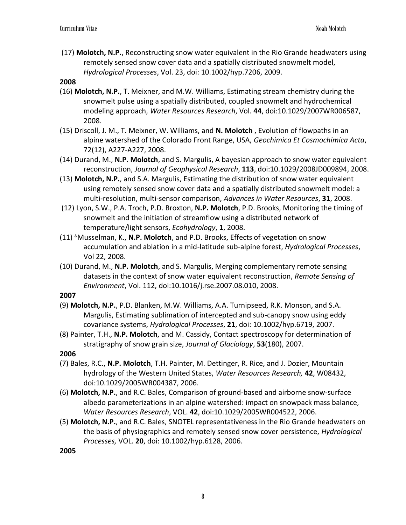(17) **Molotch, N.P.**, Reconstructing snow water equivalent in the Rio Grande headwaters using remotely sensed snow cover data and a spatially distributed snowmelt model, *Hydrological Processes*, Vol. 23, doi: 10.1002/hyp.7206, 2009.

### **2008**

- (16) **Molotch, N.P.**, T. Meixner, and M.W. Williams, Estimating stream chemistry during the snowmelt pulse using a spatially distributed, coupled snowmelt and hydrochemical modeling approach, *Water Resources Research*, Vol. **44**, doi:10.1029/2007WR006587, 2008.
- (15) Driscoll, J. M., T. Meixner, W. Williams, and **N. Molotch** , Evolution of flowpaths in an alpine watershed of the Colorado Front Range, USA, *Geochimica Et Cosmochimica Acta*, 72(12), A227-A227, 2008.
- (14) Durand, M., **N.P. Molotch**, and S. Margulis, A bayesian approach to snow water equivalent reconstruction, *Journal of Geophysical Research*, **113**, doi:10.1029/2008JD009894, 2008.
- (13) **Molotch, N.P.**, and S.A. Margulis, Estimating the distribution of snow water equivalent using remotely sensed snow cover data and a spatially distributed snowmelt model: a multi-resolution, multi-sensor comparison, *Advances in Water Resources*, **31**, 2008.
- (12) Lyon, S.W., P.A. Troch, P.D. Broxton, **N.P. Molotch**, P.D. Brooks, Monitoring the timing of snowmelt and the initiation of streamflow using a distributed network of temperature/light sensors, *Ecohydrology*, **1**, 2008.
- (11) &Musselman, K., **N.P. Molotch**, and P.D. Brooks, Effects of vegetation on snow accumulation and ablation in a mid-latitude sub-alpine forest, *Hydrological Processes*, Vol 22, 2008.
- (10) Durand, M., **N.P. Molotch**, and S. Margulis, Merging complementary remote sensing datasets in the context of snow water equivalent reconstruction, *Remote Sensing of Environment*, Vol. 112, doi:10.1016/j.rse.2007.08.010, 2008.

#### **2007**

- (9) **Molotch, N.P.**, P.D. Blanken, M.W. Williams, A.A. Turnipseed, R.K. Monson, and S.A. Margulis, Estimating sublimation of intercepted and sub-canopy snow using eddy covariance systems, *Hydrological Processes*, **21**, doi: 10.1002/hyp.6719, 2007.
- (8) Painter, T.H., **N.P. Molotch**, and M. Cassidy, Contact spectroscopy for determination of stratigraphy of snow grain size, *Journal of Glaciology*, **53**(180), 2007.

### **2006**

- (7) Bales, R.C., **N.P. Molotch**, T.H. Painter, M. Dettinger, R. Rice, and J. Dozier, Mountain hydrology of the Western United States, *Water Resources Research,* **42**, W08432, doi:10.1029/2005WR004387, 2006.
- (6) **Molotch, N.P.**, and R.C. Bales, Comparison of ground-based and airborne snow-surface albedo parameterizations in an alpine watershed: impact on snowpack mass balance, *Water Resources Research*, VOL. **42**, doi:10.1029/2005WR004522, 2006.
- (5) **Molotch, N.P.**, and R.C. Bales, SNOTEL representativeness in the Rio Grande headwaters on the basis of physiographics and remotely sensed snow cover persistence, *Hydrological Processes,* VOL. **20**, doi: 10.1002/hyp.6128, 2006.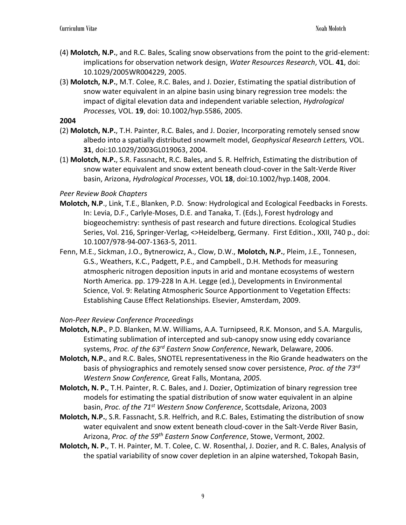- (4) **Molotch, N.P.**, and R.C. Bales, Scaling snow observations from the point to the grid-element: implications for observation network design, *Water Resources Research*, VOL. **41**, doi: 10.1029/2005WR004229, 2005.
- (3) **Molotch, N.P.**, M.T. Colee, R.C. Bales, and J. Dozier, Estimating the spatial distribution of snow water equivalent in an alpine basin using binary regression tree models: the impact of digital elevation data and independent variable selection, *Hydrological Processes,* VOL. **19**, doi: 10.1002/hyp.5586, 2005*.*

- (2) **Molotch, N.P.**, T.H. Painter, R.C. Bales, and J. Dozier, Incorporating remotely sensed snow albedo into a spatially distributed snowmelt model, *Geophysical Research Letters,* VOL. **31**, doi:10.1029/2003GL019063, 2004.
- (1) **Molotch, N.P.**, S.R. Fassnacht, R.C. Bales, and S. R. Helfrich, Estimating the distribution of snow water equivalent and snow extent beneath cloud-cover in the Salt-Verde River basin, Arizona, *Hydrological Processes*, VOL **18**, doi:10.1002/hyp.1408, 2004.

# *Peer Review Book Chapters*

- **Molotch, N.P**., Link, T.E., Blanken, P.D. Snow: Hydrological and Ecological Feedbacks in Forests. In: Levia, D.F., Carlyle-Moses, D.E. and Tanaka, T. (Eds.), Forest hydrology and biogeochemistry: synthesis of past research and future directions. Ecological Studies Series, Vol. 216, Springer-Verlag, <>Heidelberg, Germany. First Edition., XXII, 740 p., doi: 10.1007/978-94-007-1363-5, 2011.
- Fenn, M.E., Sickman, J.O., Bytnerowicz, A., Clow, D.W., **Molotch, N.P.**, Pleim, J.E., Tonnesen, G.S., Weathers, K.C., Padgett, P.E., and Campbell., D.H. Methods for measuring atmospheric nitrogen deposition inputs in arid and montane ecosystems of western North America. pp. 179-228 In A.H. Legge (ed.), Developments in Environmental Science, Vol. 9: Relating Atmospheric Source Apportionment to Vegetation Effects: Establishing Cause Effect Relationships. Elsevier, Amsterdam, 2009.

### *Non-Peer Review Conference Proceedings*

- **Molotch, N.P.**, P.D. Blanken, M.W. Williams, A.A. Turnipseed, R.K. Monson, and S.A. Margulis, Estimating sublimation of intercepted and sub-canopy snow using eddy covariance systems, *Proc. of the 63rd Eastern Snow Conference*, Newark, Delaware, 2006.
- **Molotch, N.P.**, and R.C. Bales, SNOTEL representativeness in the Rio Grande headwaters on the basis of physiographics and remotely sensed snow cover persistence, *Proc. of the 73rd Western Snow Conference,* Great Falls, Montana*, 2005.*
- **Molotch, N. P.**, T.H. Painter, R. C. Bales, and J. Dozier, Optimization of binary regression tree models for estimating the spatial distribution of snow water equivalent in an alpine basin, *Proc. of the 71st Western Snow Conference*, Scottsdale, Arizona, 2003
- **Molotch, N.P.**, S.R. Fassnacht, S.R. Helfrich, and R.C. Bales, Estimating the distribution of snow water equivalent and snow extent beneath cloud-cover in the Salt-Verde River Basin, Arizona, *Proc. of the 59th Eastern Snow Conference*, Stowe, Vermont, 2002.
- **Molotch, N. P.**, T. H. Painter, M. T. Colee, C. W. Rosenthal, J. Dozier, and R. C. Bales, Analysis of the spatial variability of snow cover depletion in an alpine watershed, Tokopah Basin,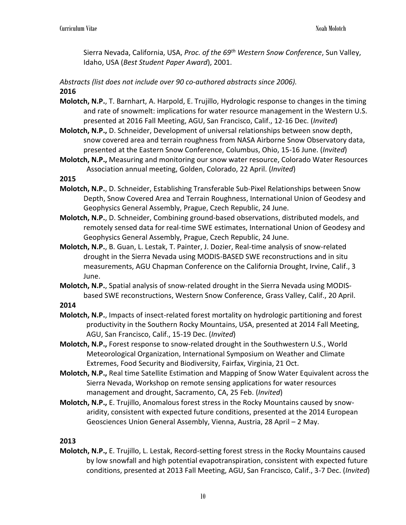Sierra Nevada, California, USA, *Proc. of the 69th Western Snow Conference*, Sun Valley, Idaho, USA (*Best Student Paper Award*), 2001.

*Abstracts (list does not include over 90 co-authored abstracts since 2006).*

# **2016**

- **Molotch, N.P.**, T. Barnhart, A. Harpold, E. Trujillo, Hydrologic response to changes in the timing and rate of snowmelt: implications for water resource management in the Western U.S. presented at 2016 Fall Meeting, AGU, San Francisco, Calif., 12-16 Dec. (*Invited*)
- **Molotch, N.P.,** D. Schneider, Development of universal relationships between snow depth, snow covered area and terrain roughness from NASA Airborne Snow Observatory data, presented at the Eastern Snow Conference, Columbus, Ohio, 15-16 June. (*Invited*)
- **Molotch, N.P.,** Measuring and monitoring our snow water resource, Colorado Water Resources Association annual meeting, Golden, Colorado, 22 April. (*Invited*)

# **2015**

- **Molotch, N.P.**, D. Schneider, Establishing Transferable Sub-Pixel Relationships between Snow Depth, Snow Covered Area and Terrain Roughness, International Union of Geodesy and Geophysics General Assembly, Prague, Czech Republic, 24 June.
- **Molotch, N.P.**, D. Schneider, Combining ground-based observations, distributed models, and remotely sensed data for real-time SWE estimates, International Union of Geodesy and Geophysics General Assembly, Prague, Czech Republic, 24 June.
- **Molotch, N.P.**, B. Guan, L. Lestak, T. Painter, J. Dozier, Real-time analysis of snow-related drought in the Sierra Nevada using MODIS-BASED SWE reconstructions and in situ measurements, AGU Chapman Conference on the California Drought, Irvine, Calif., 3 June.
- **Molotch, N.P.**, Spatial analysis of snow-related drought in the Sierra Nevada using MODISbased SWE reconstructions, Western Snow Conference, Grass Valley, Calif., 20 April.

**2014**

- **Molotch, N.P.**, Impacts of insect-related forest mortality on hydrologic partitioning and forest productivity in the Southern Rocky Mountains, USA, presented at 2014 Fall Meeting, AGU, San Francisco, Calif., 15-19 Dec. (*Invited*)
- **Molotch, N.P.,** Forest response to snow-related drought in the Southwestern U.S., World Meteorological Organization, International Symposium on Weather and Climate Extremes, Food Security and Biodiversity, Fairfax, Virginia, 21 Oct.
- **Molotch, N.P.,** Real time Satellite Estimation and Mapping of Snow Water Equivalent across the Sierra Nevada, Workshop on remote sensing applications for water resources management and drought, Sacramento, CA, 25 Feb. (*Invited*)
- **Molotch, N.P.,** E. Trujillo, Anomalous forest stress in the Rocky Mountains caused by snowaridity, consistent with expected future conditions, presented at the 2014 European Geosciences Union General Assembly, Vienna, Austria, 28 April – 2 May.

# **2013**

**Molotch, N.P.,** E. Trujillo, L. Lestak, Record-setting forest stress in the Rocky Mountains caused by low snowfall and high potential evapotranspiration, consistent with expected future conditions, presented at 2013 Fall Meeting, AGU, San Francisco, Calif., 3-7 Dec. (*Invited*)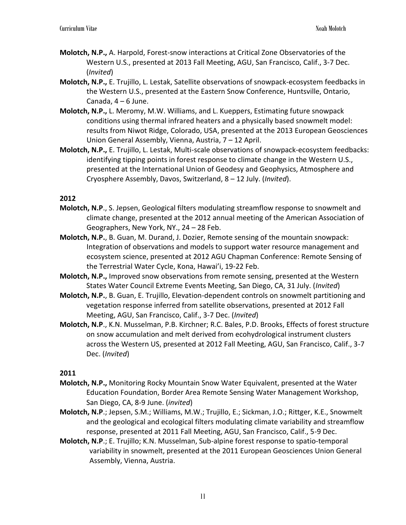- **Molotch, N.P.,** A. Harpold, Forest-snow interactions at Critical Zone Observatories of the Western U.S., presented at 2013 Fall Meeting, AGU, San Francisco, Calif., 3-7 Dec. (*Invited*)
- **Molotch, N.P.,** E. Trujillo, L. Lestak, Satellite observations of snowpack-ecosystem feedbacks in the Western U.S., presented at the Eastern Snow Conference, Huntsville, Ontario, Canada,  $4 - 6$  June.
- **Molotch, N.P.,** L. Meromy, M.W. Williams, and L. Kueppers, Estimating future snowpack conditions using thermal infrared heaters and a physically based snowmelt model: results from Niwot Ridge, Colorado, USA, presented at the 2013 European Geosciences Union General Assembly, Vienna, Austria, 7 – 12 April.
- **Molotch, N.P.,** E. Trujillo, L. Lestak, Multi-scale observations of snowpack-ecosystem feedbacks: identifying tipping points in forest response to climate change in the Western U.S., presented at the International Union of Geodesy and Geophysics, Atmosphere and Cryosphere Assembly, Davos, Switzerland, 8 – 12 July. (*Invited*).

- **Molotch, N.P**., S. Jepsen, Geological filters modulating streamflow response to snowmelt and climate change, presented at the 2012 annual meeting of the American Association of Geographers, New York, NY., 24 – 28 Feb.
- **Molotch, N.P.**, B. Guan, M. Durand, J. Dozier, Remote sensing of the mountain snowpack: Integration of observations and models to support water resource management and ecosystem science, presented at 2012 AGU Chapman Conference: Remote Sensing of the Terrestrial Water Cycle, Kona, Hawai'i, 19-22 Feb.
- **Molotch, N.P.,** Improved snow observations from remote sensing, presented at the Western States Water Council Extreme Events Meeting, San Diego, CA, 31 July. (*Invited*)
- **Molotch, N.P.**, B. Guan, E. Trujillo, Elevation-dependent controls on snowmelt partitioning and vegetation response inferred from satellite observations, presented at 2012 Fall Meeting, AGU, San Francisco, Calif., 3-7 Dec. (*Invited*)
- **Molotch, N.P**., K.N. Musselman, P.B. Kirchner; R.C. Bales, P.D. Brooks, Effects of forest structure on snow accumulation and melt derived from ecohydrological instrument clusters across the Western US, presented at 2012 Fall Meeting, AGU, San Francisco, Calif., 3-7 Dec. (*Invited*)

- **Molotch, N.P.,** Monitoring Rocky Mountain Snow Water Equivalent, presented at the Water Education Foundation, Border Area Remote Sensing Water Management Workshop, San Diego, CA, 8-9 June. (*invited*)
- **Molotch, N.P**.; Jepsen, S.M.; Williams, M.W.; Trujillo, E.; Sickman, J.O.; Rittger, K.E., Snowmelt and the geological and ecological filters modulating climate variability and streamflow response, presented at 2011 Fall Meeting, AGU, San Francisco, Calif., 5-9 Dec.
- **Molotch, N.P**.; E. Trujillo; K.N. Musselman, Sub-alpine forest response to spatio-temporal variability in snowmelt, presented at the 2011 European Geosciences Union General Assembly, Vienna, Austria.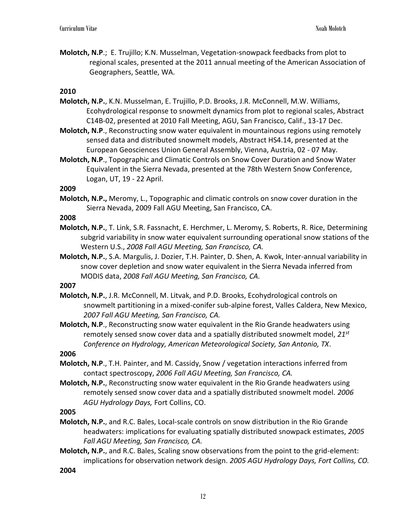**Molotch, N.P**.; E. Trujillo; K.N. Musselman, Vegetation-snowpack feedbacks from plot to regional scales, presented at the 2011 annual meeting of the American Association of Geographers, Seattle, WA.

### **2010**

- **Molotch, N.P.**, K.N. Musselman, E. Trujillo, P.D. Brooks, J.R. McConnell, M.W. Williams, Ecohydrological response to snowmelt dynamics from plot to regional scales, Abstract C14B-02, presented at 2010 Fall Meeting, AGU, San Francisco, Calif., 13-17 Dec.
- **Molotch, N.P**., Reconstructing snow water equivalent in mountainous regions using remotely sensed data and distributed snowmelt models, Abstract HS4.14, presented at the European Geosciences Union General Assembly, Vienna, Austria, 02 - 07 May.
- **Molotch, N.P**., Topographic and Climatic Controls on Snow Cover Duration and Snow Water Equivalent in the Sierra Nevada, presented at the 78th Western Snow Conference, Logan, UT, 19 - 22 April.

#### **2009**

**Molotch, N.P.,** Meromy, L., Topographic and climatic controls on snow cover duration in the Sierra Nevada, 2009 Fall AGU Meeting, San Francisco, CA.

### **2008**

- **Molotch, N.P.**, T. Link, S.R. Fassnacht, E. Herchmer, L. Meromy, S. Roberts, R. Rice, Determining subgrid variability in snow water equivalent surrounding operational snow stations of the Western U.S., *2008 Fall AGU Meeting, San Francisco, CA.*
- **Molotch, N.P.**, S.A. Margulis, J. Dozier, T.H. Painter, D. Shen, A. Kwok, Inter-annual variability in snow cover depletion and snow water equivalent in the Sierra Nevada inferred from MODIS data, *2008 Fall AGU Meeting, San Francisco, CA.*

# **2007**

**Molotch, N.P.**, J.R. McConnell, M. Litvak, and P.D. Brooks, Ecohydrological controls on snowmelt partitioning in a mixed-conifer sub-alpine forest, Valles Caldera, New Mexico, *2007 Fall AGU Meeting, San Francisco, CA.*

**Molotch, N.P**., Reconstructing snow water equivalent in the Rio Grande headwaters using remotely sensed snow cover data and a spatially distributed snowmelt model, *21st Conference on Hydrology, American Meteorological Society, San Antonio, TX*.

**2006**

- **Molotch, N.P**., T.H. Painter, and M. Cassidy, Snow / vegetation interactions inferred from contact spectroscopy, *2006 Fall AGU Meeting, San Francisco, CA.*
- **Molotch, N.P.**, Reconstructing snow water equivalent in the Rio Grande headwaters using remotely sensed snow cover data and a spatially distributed snowmelt model. *2006 AGU Hydrology Days,* Fort Collins, CO.

**2005**

- **Molotch, N.P.**, and R.C. Bales, Local-scale controls on snow distribution in the Rio Grande headwaters: implications for evaluating spatially distributed snowpack estimates, *2005 Fall AGU Meeting, San Francisco, CA.*
- **Molotch, N.P.**, and R.C. Bales, Scaling snow observations from the point to the grid-element: implications for observation network design. *2005 AGU Hydrology Days, Fort Collins, CO.*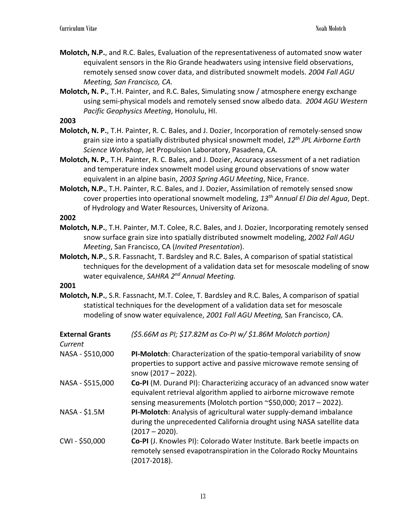- **Molotch, N.P.**, and R.C. Bales, Evaluation of the representativeness of automated snow water equivalent sensors in the Rio Grande headwaters using intensive field observations, remotely sensed snow cover data, and distributed snowmelt models. *2004 Fall AGU Meeting, San Francisco, CA.*
- **Molotch, N. P.**, T.H. Painter, and R.C. Bales, Simulating snow / atmosphere energy exchange using semi-physical models and remotely sensed snow albedo data. *2004 AGU Western Pacific Geophysics Meeting*, Honolulu, HI.

- **Molotch, N. P.**, T.H. Painter, R. C. Bales, and J. Dozier, Incorporation of remotely-sensed snow grain size into a spatially distributed physical snowmelt model, *12th JPL Airborne Earth Science Workshop*, Jet Propulsion Laboratory, Pasadena, CA.
- **Molotch, N. P.**, T.H. Painter, R. C. Bales, and J. Dozier, Accuracy assessment of a net radiation and temperature index snowmelt model using ground observations of snow water equivalent in an alpine basin, *2003 Spring AGU Meeting*, Nice, France.
- **Molotch, N.P.**, T.H. Painter, R.C. Bales, and J. Dozier, Assimilation of remotely sensed snow cover properties into operational snowmelt modeling, *13th Annual El Dia del Agua*, Dept. of Hydrology and Water Resources, University of Arizona.

### **2002**

- **Molotch, N.P.**, T.H. Painter, M.T. Colee, R.C. Bales, and J. Dozier, Incorporating remotely sensed snow surface grain size into spatially distributed snowmelt modeling, *2002 Fall AGU Meeting*, San Francisco, CA (*Invited Presentation*).
- **Molotch, N.P.**, S.R. Fassnacht, T. Bardsley and R.C. Bales, A comparison of spatial statistical techniques for the development of a validation data set for mesoscale modeling of snow water equivalence, *SAHRA 2nd Annual Meeting.*

#### **2001**

**Molotch, N.P.**, S.R. Fassnacht, M.T. Colee, T. Bardsley and R.C. Bales, A comparison of spatial statistical techniques for the development of a validation data set for mesoscale modeling of snow water equivalence, *2001 Fall AGU Meeting,* San Francisco, CA.

| <b>External Grants</b><br>Current | (\$5.66M as PI; \$17.82M as Co-PI w/ \$1.86M Molotch portion)                                                                                                                                                    |
|-----------------------------------|------------------------------------------------------------------------------------------------------------------------------------------------------------------------------------------------------------------|
| NASA - \$510,000                  | PI-Molotch: Characterization of the spatio-temporal variability of snow<br>properties to support active and passive microwave remote sensing of<br>snow $(2017 - 2022)$ .                                        |
| NASA - \$515,000                  | Co-PI (M. Durand PI): Characterizing accuracy of an advanced snow water<br>equivalent retrieval algorithm applied to airborne microwave remote<br>sensing measurements (Molotch portion ~\$50,000; 2017 - 2022). |
| NASA - \$1.5M                     | PI-Molotch: Analysis of agricultural water supply-demand imbalance<br>during the unprecedented California drought using NASA satellite data<br>$(2017 - 2020).$                                                  |
| CWI-\$50,000                      | Co-PI (J. Knowles PI): Colorado Water Institute. Bark beetle impacts on<br>remotely sensed evapotranspiration in the Colorado Rocky Mountains<br>(2017-2018).                                                    |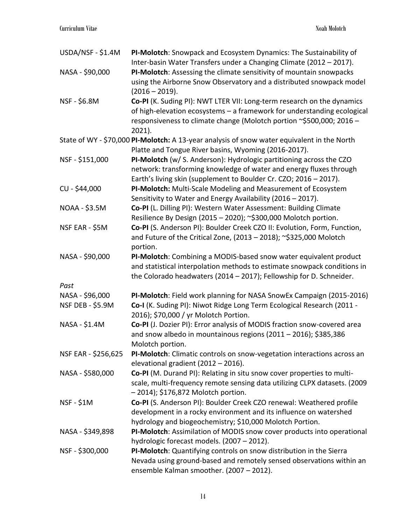| USDA/NSF - \$1.4M   | PI-Molotch: Snowpack and Ecosystem Dynamics: The Sustainability of<br>Inter-basin Water Transfers under a Changing Climate (2012 - 2017). |
|---------------------|-------------------------------------------------------------------------------------------------------------------------------------------|
| NASA - \$90,000     | PI-Molotch: Assessing the climate sensitivity of mountain snowpacks                                                                       |
|                     |                                                                                                                                           |
|                     | using the Airborne Snow Observatory and a distributed snowpack model<br>$(2016 - 2019).$                                                  |
|                     |                                                                                                                                           |
| NSF - \$6.8M        | Co-PI (K. Suding PI): NWT LTER VII: Long-term research on the dynamics                                                                    |
|                     | of high-elevation ecosystems - a framework for understanding ecological                                                                   |
|                     | responsiveness to climate change (Molotch portion ~\$500,000; 2016 -                                                                      |
|                     | 2021).                                                                                                                                    |
|                     | State of WY - \$70,000 PI-Molotch: A 13-year analysis of snow water equivalent in the North                                               |
|                     | Platte and Tongue River basins, Wyoming (2016-2017).                                                                                      |
| NSF - \$151,000     | PI-Molotch (w/ S. Anderson): Hydrologic partitioning across the CZO                                                                       |
|                     | network: transforming knowledge of water and energy fluxes through                                                                        |
|                     | Earth's living skin (supplement to Boulder Cr. CZO; 2016 - 2017).                                                                         |
| CU - \$44,000       | PI-Molotch: Multi-Scale Modeling and Measurement of Ecosystem                                                                             |
|                     | Sensitivity to Water and Energy Availability (2016 - 2017).                                                                               |
| NOAA - \$3.5M       | Co-PI (L. Dilling PI): Western Water Assessment: Building Climate                                                                         |
|                     | Resilience By Design (2015 - 2020); ~\$300,000 Molotch portion.                                                                           |
| NSF EAR - \$5M      | Co-PI (S. Anderson PI): Boulder Creek CZO II: Evolution, Form, Function,                                                                  |
|                     | and Future of the Critical Zone, (2013 - 2018); ~\$325,000 Molotch                                                                        |
|                     | portion.                                                                                                                                  |
| NASA - \$90,000     | PI-Molotch: Combining a MODIS-based snow water equivalent product                                                                         |
|                     | and statistical interpolation methods to estimate snowpack conditions in                                                                  |
|                     | the Colorado headwaters (2014 - 2017); Fellowship for D. Schneider.                                                                       |
| Past                |                                                                                                                                           |
| NASA - \$96,000     | PI-Molotch: Field work planning for NASA SnowEx Campaign (2015-2016)                                                                      |
| NSF DEB - \$5.9M    | Co-I (K. Suding PI): Niwot Ridge Long Term Ecological Research (2011 -                                                                    |
|                     | 2016); \$70,000 / yr Molotch Portion.                                                                                                     |
| NASA - \$1.4M       | Co-PI (J. Dozier PI): Error analysis of MODIS fraction snow-covered area                                                                  |
|                     | and snow albedo in mountainous regions (2011 - 2016); \$385,386                                                                           |
|                     | Molotch portion.                                                                                                                          |
| NSF EAR - \$256,625 | PI-Molotch: Climatic controls on snow-vegetation interactions across an                                                                   |
|                     | elevational gradient (2012 - 2016).                                                                                                       |
| NASA - \$580,000    | Co-PI (M. Durand PI): Relating in situ snow cover properties to multi-                                                                    |
|                     | scale, multi-frequency remote sensing data utilizing CLPX datasets. (2009                                                                 |
|                     | $-2014$ ); \$176,872 Molotch portion.                                                                                                     |
| <b>NSF - \$1M</b>   | Co-PI (S. Anderson PI): Boulder Creek CZO renewal: Weathered profile                                                                      |
|                     | development in a rocky environment and its influence on watershed                                                                         |
|                     | hydrology and biogeochemistry; \$10,000 Molotch Portion.                                                                                  |
| NASA - \$349,898    | PI-Molotch: Assimilation of MODIS snow cover products into operational                                                                    |
|                     | hydrologic forecast models. (2007 - 2012).                                                                                                |
| NSF - \$300,000     | PI-Molotch: Quantifying controls on snow distribution in the Sierra                                                                       |
|                     | Nevada using ground-based and remotely sensed observations within an                                                                      |
|                     | ensemble Kalman smoother. (2007 - 2012).                                                                                                  |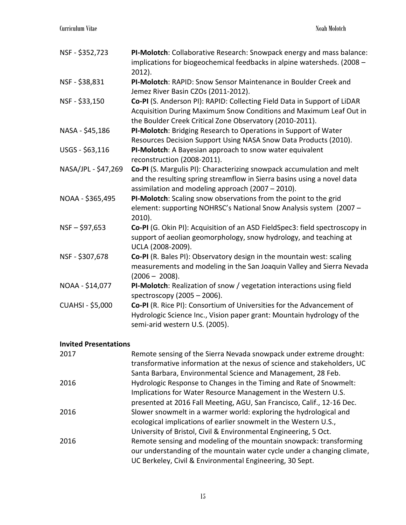| NSF - \$352,723         | PI-Molotch: Collaborative Research: Snowpack energy and mass balance:<br>implications for biogeochemical feedbacks in alpine watersheds. (2008 -<br>$2012$ ).                                              |
|-------------------------|------------------------------------------------------------------------------------------------------------------------------------------------------------------------------------------------------------|
| NSF - \$38,831          | PI-Molotch: RAPID: Snow Sensor Maintenance in Boulder Creek and<br>Jemez River Basin CZOs (2011-2012).                                                                                                     |
| NSF - \$33,150          | Co-PI (S. Anderson PI): RAPID: Collecting Field Data in Support of LiDAR<br>Acquisition During Maximum Snow Conditions and Maximum Leaf Out in<br>the Boulder Creek Critical Zone Observatory (2010-2011). |
| NASA - \$45,186         | PI-Molotch: Bridging Research to Operations in Support of Water<br>Resources Decision Support Using NASA Snow Data Products (2010).                                                                        |
| USGS - \$63,116         | PI-Molotch: A Bayesian approach to snow water equivalent<br>reconstruction (2008-2011).                                                                                                                    |
| NASA/JPL - \$47,269     | Co-PI (S. Margulis PI): Characterizing snowpack accumulation and melt<br>and the resulting spring streamflow in Sierra basins using a novel data<br>assimilation and modeling approach (2007 - 2010).      |
| NOAA - \$365,495        | PI-Molotch: Scaling snow observations from the point to the grid<br>element: supporting NOHRSC's National Snow Analysis system (2007 -<br>$2010$ ).                                                        |
| $NSF - $97,653$         | Co-PI (G. Okin PI): Acquisition of an ASD FieldSpec3: field spectroscopy in<br>support of aeolian geomorphology, snow hydrology, and teaching at<br>UCLA (2008-2009).                                      |
| NSF - \$307,678         | Co-PI (R. Bales PI): Observatory design in the mountain west: scaling<br>measurements and modeling in the San Joaquin Valley and Sierra Nevada<br>$(2006 - 2008).$                                         |
| NOAA - \$14,077         | PI-Molotch: Realization of snow / vegetation interactions using field<br>spectroscopy (2005 - 2006).                                                                                                       |
| <b>CUAHSI - \$5,000</b> | Co-PI (R. Rice PI): Consortium of Universities for the Advancement of<br>Hydrologic Science Inc., Vision paper grant: Mountain hydrology of the<br>semi-arid western U.S. (2005).                          |

# **Invited Presentations**

| 2017 | Remote sensing of the Sierra Nevada snowpack under extreme drought:     |
|------|-------------------------------------------------------------------------|
|      | transformative information at the nexus of science and stakeholders, UC |
|      | Santa Barbara, Environmental Science and Management, 28 Feb.            |
| 2016 | Hydrologic Response to Changes in the Timing and Rate of Snowmelt:      |
|      | Implications for Water Resource Management in the Western U.S.          |
|      | presented at 2016 Fall Meeting, AGU, San Francisco, Calif., 12-16 Dec.  |
| 2016 | Slower snowmelt in a warmer world: exploring the hydrological and       |
|      | ecological implications of earlier snowmelt in the Western U.S.,        |
|      | University of Bristol, Civil & Environmental Engineering, 5 Oct.        |
| 2016 | Remote sensing and modeling of the mountain snowpack: transforming      |
|      | our understanding of the mountain water cycle under a changing climate, |
|      | UC Berkeley, Civil & Environmental Engineering, 30 Sept.                |
|      |                                                                         |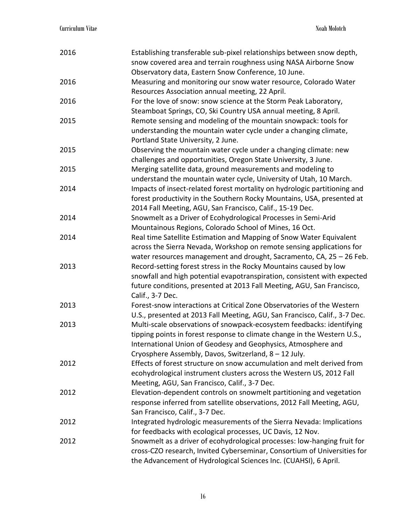| 2016 | Establishing transferable sub-pixel relationships between snow depth,<br>snow covered area and terrain roughness using NASA Airborne Snow                                                                                                                                   |
|------|-----------------------------------------------------------------------------------------------------------------------------------------------------------------------------------------------------------------------------------------------------------------------------|
|      | Observatory data, Eastern Snow Conference, 10 June.                                                                                                                                                                                                                         |
| 2016 | Measuring and monitoring our snow water resource, Colorado Water<br>Resources Association annual meeting, 22 April.                                                                                                                                                         |
| 2016 | For the love of snow: snow science at the Storm Peak Laboratory,<br>Steamboat Springs, CO, Ski Country USA annual meeting, 8 April.                                                                                                                                         |
| 2015 | Remote sensing and modeling of the mountain snowpack: tools for<br>understanding the mountain water cycle under a changing climate,<br>Portland State University, 2 June.                                                                                                   |
| 2015 | Observing the mountain water cycle under a changing climate: new<br>challenges and opportunities, Oregon State University, 3 June.                                                                                                                                          |
| 2015 | Merging satellite data, ground measurements and modeling to<br>understand the mountain water cycle, University of Utah, 10 March.                                                                                                                                           |
| 2014 | Impacts of insect-related forest mortality on hydrologic partitioning and<br>forest productivity in the Southern Rocky Mountains, USA, presented at<br>2014 Fall Meeting, AGU, San Francisco, Calif., 15-19 Dec.                                                            |
| 2014 | Snowmelt as a Driver of Ecohydrological Processes in Semi-Arid<br>Mountainous Regions, Colorado School of Mines, 16 Oct.                                                                                                                                                    |
| 2014 | Real time Satellite Estimation and Mapping of Snow Water Equivalent<br>across the Sierra Nevada, Workshop on remote sensing applications for<br>water resources management and drought, Sacramento, CA, $25 - 26$ Feb.                                                      |
| 2013 | Record-setting forest stress in the Rocky Mountains caused by low<br>snowfall and high potential evapotranspiration, consistent with expected<br>future conditions, presented at 2013 Fall Meeting, AGU, San Francisco,<br>Calif., 3-7 Dec.                                 |
| 2013 | Forest-snow interactions at Critical Zone Observatories of the Western<br>U.S., presented at 2013 Fall Meeting, AGU, San Francisco, Calif., 3-7 Dec.                                                                                                                        |
| 2013 | Multi-scale observations of snowpack-ecosystem feedbacks: identifying<br>tipping points in forest response to climate change in the Western U.S.,<br>International Union of Geodesy and Geophysics, Atmosphere and<br>Cryosphere Assembly, Davos, Switzerland, 8 - 12 July. |
| 2012 | Effects of forest structure on snow accumulation and melt derived from<br>ecohydrological instrument clusters across the Western US, 2012 Fall<br>Meeting, AGU, San Francisco, Calif., 3-7 Dec.                                                                             |
| 2012 | Elevation-dependent controls on snowmelt partitioning and vegetation<br>response inferred from satellite observations, 2012 Fall Meeting, AGU,<br>San Francisco, Calif., 3-7 Dec.                                                                                           |
| 2012 | Integrated hydrologic measurements of the Sierra Nevada: Implications<br>for feedbacks with ecological processes, UC Davis, 12 Nov.                                                                                                                                         |
| 2012 | Snowmelt as a driver of ecohydrological processes: low-hanging fruit for<br>cross-CZO research, Invited Cyberseminar, Consortium of Universities for<br>the Advancement of Hydrological Sciences Inc. (CUAHSI), 6 April.                                                    |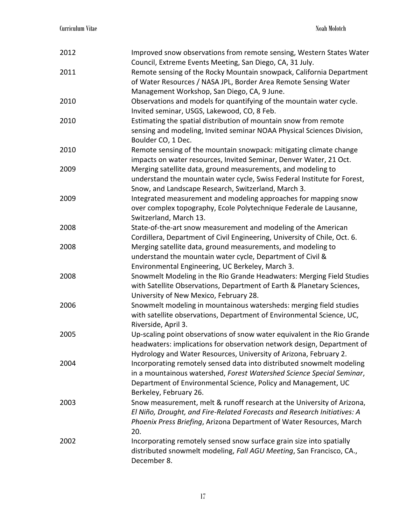| 2012 | Improved snow observations from remote sensing, Western States Water<br>Council, Extreme Events Meeting, San Diego, CA, 31 July.                                                                                                           |
|------|--------------------------------------------------------------------------------------------------------------------------------------------------------------------------------------------------------------------------------------------|
| 2011 | Remote sensing of the Rocky Mountain snowpack, California Department<br>of Water Resources / NASA JPL, Border Area Remote Sensing Water<br>Management Workshop, San Diego, CA, 9 June.                                                     |
| 2010 | Observations and models for quantifying of the mountain water cycle.<br>Invited seminar, USGS, Lakewood, CO, 8 Feb.                                                                                                                        |
| 2010 | Estimating the spatial distribution of mountain snow from remote<br>sensing and modeling, Invited seminar NOAA Physical Sciences Division,<br>Boulder CO, 1 Dec.                                                                           |
| 2010 | Remote sensing of the mountain snowpack: mitigating climate change<br>impacts on water resources, Invited Seminar, Denver Water, 21 Oct.                                                                                                   |
| 2009 | Merging satellite data, ground measurements, and modeling to<br>understand the mountain water cycle, Swiss Federal Institute for Forest,<br>Snow, and Landscape Research, Switzerland, March 3.                                            |
| 2009 | Integrated measurement and modeling approaches for mapping snow<br>over complex topography, Ecole Polytechnique Federale de Lausanne,<br>Switzerland, March 13.                                                                            |
| 2008 | State-of-the-art snow measurement and modeling of the American<br>Cordillera, Department of Civil Engineering, University of Chile, Oct. 6.                                                                                                |
| 2008 | Merging satellite data, ground measurements, and modeling to<br>understand the mountain water cycle, Department of Civil &<br>Environmental Engineering, UC Berkeley, March 3.                                                             |
| 2008 | Snowmelt Modeling in the Rio Grande Headwaters: Merging Field Studies<br>with Satellite Observations, Department of Earth & Planetary Sciences,<br>University of New Mexico, February 28.                                                  |
| 2006 | Snowmelt modeling in mountainous watersheds: merging field studies<br>with satellite observations, Department of Environmental Science, UC,<br>Riverside, April 3.                                                                         |
| 2005 | Up-scaling point observations of snow water equivalent in the Rio Grande<br>headwaters: implications for observation network design, Department of<br>Hydrology and Water Resources, University of Arizona, February 2.                    |
| 2004 | Incorporating remotely sensed data into distributed snowmelt modeling<br>in a mountainous watershed, Forest Watershed Science Special Seminar,<br>Department of Environmental Science, Policy and Management, UC<br>Berkeley, February 26. |
| 2003 | Snow measurement, melt & runoff research at the University of Arizona,<br>El Niño, Drought, and Fire-Related Forecasts and Research Initiatives: A<br>Phoenix Press Briefing, Arizona Department of Water Resources, March<br>20.          |
| 2002 | Incorporating remotely sensed snow surface grain size into spatially<br>distributed snowmelt modeling, Fall AGU Meeting, San Francisco, CA.,<br>December 8.                                                                                |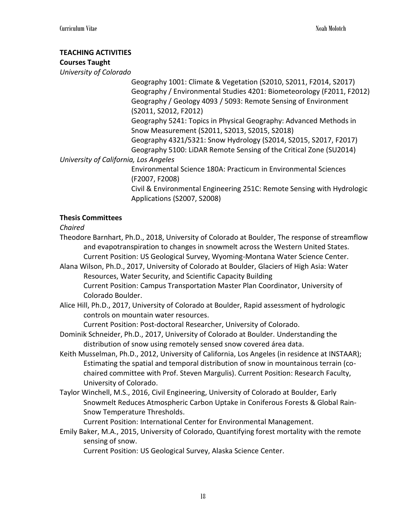# **TEACHING ACTIVITIES**

# **Courses Taught**

*University of Colorado*

Geography 1001: Climate & Vegetation (S2010, S2011, F2014, S2017) Geography / Environmental Studies 4201: Biometeorology (F2011, F2012) Geography / Geology 4093 / 5093: Remote Sensing of Environment (S2011, S2012, F2012)

Geography 5241: Topics in Physical Geography: Advanced Methods in Snow Measurement (S2011, S2013, S2015, S2018)

Geography 4321/5321: Snow Hydrology (S2014, S2015, S2017, F2017)

Geography 5100: LiDAR Remote Sensing of the Critical Zone (SU2014) *University of California, Los Angeles*

> Environmental Science 180A: Practicum in Environmental Sciences (F2007, F2008)

Civil & Environmental Engineering 251C: Remote Sensing with Hydrologic Applications (S2007, S2008)

# **Thesis Committees**

*Chaired*

- Theodore Barnhart, Ph.D., 2018, University of Colorado at Boulder, The response of streamflow and evapotranspiration to changes in snowmelt across the Western United States. Current Position: US Geological Survey, Wyoming-Montana Water Science Center.
- Alana Wilson, Ph.D., 2017, University of Colorado at Boulder, Glaciers of High Asia: Water Resources, Water Security, and Scientific Capacity Building Current Position: Campus Transportation Master Plan Coordinator, University of Colorado Boulder.
- Alice Hill, Ph.D., 2017, University of Colorado at Boulder, Rapid assessment of hydrologic controls on mountain water resources.

Current Position: Post-doctoral Researcher, University of Colorado.

- Dominik Schneider, Ph.D., 2017, University of Colorado at Boulder. Understanding the distribution of snow using remotely sensed snow covered área data.
- Keith Musselman, Ph.D., 2012, University of California, Los Angeles (in residence at INSTAAR); Estimating the spatial and temporal distribution of snow in mountainous terrain (cochaired committee with Prof. Steven Margulis). Current Position: Research Faculty, University of Colorado.
- Taylor Winchell, M.S., 2016, Civil Engineering, University of Colorado at Boulder, Early Snowmelt Reduces Atmospheric Carbon Uptake in Coniferous Forests & Global Rain-Snow Temperature Thresholds.

Current Position: International Center for Environmental Management.

Emily Baker, M.A., 2015, University of Colorado, Quantifying forest mortality with the remote sensing of snow.

Current Position: US Geological Survey, Alaska Science Center.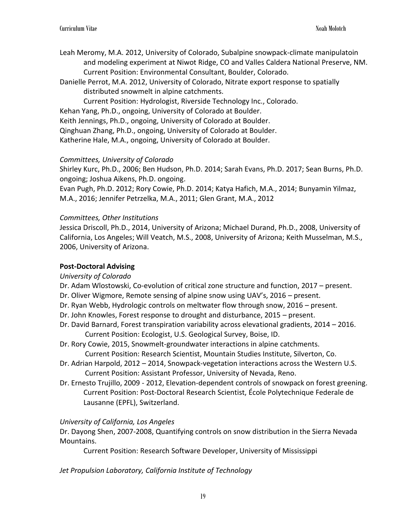- Leah Meromy, M.A. 2012, University of Colorado, Subalpine snowpack-climate manipulatoin and modeling experiment at Niwot Ridge, CO and Valles Caldera National Preserve, NM. Current Position: Environmental Consultant, Boulder, Colorado.
- Danielle Perrot, M.A. 2012, University of Colorado, Nitrate export response to spatially distributed snowmelt in alpine catchments.

Current Position: Hydrologist, Riverside Technology Inc., Colorado.

Kehan Yang, Ph.D., ongoing, University of Colorado at Boulder.

Keith Jennings, Ph.D., ongoing, University of Colorado at Boulder.

Qinghuan Zhang, Ph.D., ongoing, University of Colorado at Boulder.

Katherine Hale, M.A., ongoing, University of Colorado at Boulder.

# *Committees, University of Colorado*

Shirley Kurc, Ph.D., 2006; Ben Hudson, Ph.D. 2014; Sarah Evans, Ph.D. 2017; Sean Burns, Ph.D. ongoing; Joshua Aikens, Ph.D. ongoing.

Evan Pugh, Ph.D. 2012; Rory Cowie, Ph.D. 2014; Katya Hafich, M.A., 2014; Bunyamin Yilmaz, M.A., 2016; Jennifer Petrzelka, M.A., 2011; Glen Grant, M.A., 2012

# *Committees, Other Institutions*

Jessica Driscoll, Ph.D., 2014, University of Arizona; Michael Durand, Ph.D., 2008, University of California, Los Angeles; Will Veatch, M.S., 2008, University of Arizona; Keith Musselman, M.S., 2006, University of Arizona.

# **Post-Doctoral Advising**

# *University of Colorado*

- Dr. Adam Wlostowski, Co-evolution of critical zone structure and function, 2017 present.
- Dr. Oliver Wigmore, Remote sensing of alpine snow using UAV's, 2016 present.
- Dr. Ryan Webb, Hydrologic controls on meltwater flow through snow, 2016 present.
- Dr. John Knowles, Forest response to drought and disturbance, 2015 present.
- Dr. David Barnard, Forest transpiration variability across elevational gradients, 2014 2016. Current Position: Ecologist, U.S. Geological Survey, Boise, ID.
- Dr. Rory Cowie, 2015, Snowmelt-groundwater interactions in alpine catchments. Current Position: Research Scientist, Mountain Studies Institute, Silverton, Co.
- Dr. Adrian Harpold, 2012 2014, Snowpack-vegetation interactions across the Western U.S. Current Position: Assistant Professor, University of Nevada, Reno.
- Dr. Ernesto Trujillo, 2009 2012, Elevation-dependent controls of snowpack on forest greening. Current Position: Post-Doctoral Research Scientist, École Polytechnique Federale de Lausanne (EPFL), Switzerland.

# *University of California, Los Angeles*

Dr. Dayong Shen, 2007-2008, Quantifying controls on snow distribution in the Sierra Nevada Mountains.

Current Position: Research Software Developer, University of Mississippi

*Jet Propulsion Laboratory, California Institute of Technology*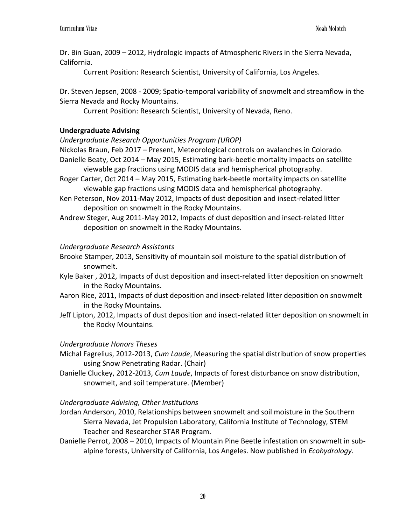Dr. Bin Guan, 2009 – 2012, Hydrologic impacts of Atmospheric Rivers in the Sierra Nevada, California.

Current Position: Research Scientist, University of California, Los Angeles.

Dr. Steven Jepsen, 2008 - 2009; Spatio-temporal variability of snowmelt and streamflow in the Sierra Nevada and Rocky Mountains.

Current Position: Research Scientist, University of Nevada, Reno.

# **Undergraduate Advising**

#### *Undergraduate Research Opportunities Program (UROP)*

Nickolas Braun, Feb 2017 – Present, Meteorological controls on avalanches in Colorado.

Danielle Beaty, Oct 2014 – May 2015, Estimating bark-beetle mortality impacts on satellite viewable gap fractions using MODIS data and hemispherical photography.

- Roger Carter, Oct 2014 May 2015, Estimating bark-beetle mortality impacts on satellite viewable gap fractions using MODIS data and hemispherical photography.
- Ken Peterson, Nov 2011-May 2012, Impacts of dust deposition and insect-related litter deposition on snowmelt in the Rocky Mountains.
- Andrew Steger, Aug 2011-May 2012, Impacts of dust deposition and insect-related litter deposition on snowmelt in the Rocky Mountains.

### *Undergraduate Research Assistants*

- Brooke Stamper, 2013, Sensitivity of mountain soil moisture to the spatial distribution of snowmelt.
- Kyle Baker , 2012, Impacts of dust deposition and insect-related litter deposition on snowmelt in the Rocky Mountains.
- Aaron Rice, 2011, Impacts of dust deposition and insect-related litter deposition on snowmelt in the Rocky Mountains.
- Jeff Lipton, 2012, Impacts of dust deposition and insect-related litter deposition on snowmelt in the Rocky Mountains.

### *Undergraduate Honors Theses*

- Michal Fagrelius, 2012-2013, *Cum Laude*, Measuring the spatial distribution of snow properties using Snow Penetrating Radar. (Chair)
- Danielle Cluckey, 2012-2013, *Cum Laude*, Impacts of forest disturbance on snow distribution, snowmelt, and soil temperature. (Member)

### *Undergraduate Advising, Other Institutions*

- Jordan Anderson, 2010, Relationships between snowmelt and soil moisture in the Southern Sierra Nevada, Jet Propulsion Laboratory, California Institute of Technology, STEM Teacher and Researcher STAR Program.
- Danielle Perrot, 2008 2010, Impacts of Mountain Pine Beetle infestation on snowmelt in subalpine forests, University of California, Los Angeles. Now published in *Ecohydrology.*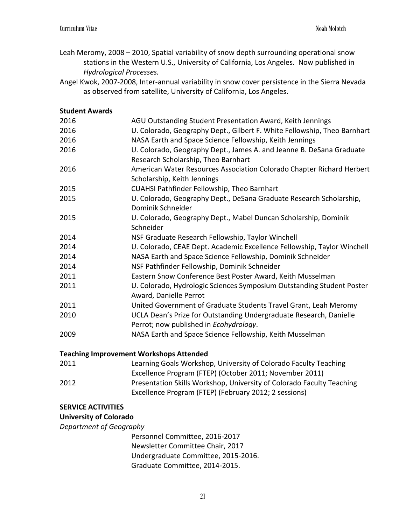- Leah Meromy, 2008 2010, Spatial variability of snow depth surrounding operational snow stations in the Western U.S., University of California, Los Angeles. Now published in *Hydrological Processes.*
- Angel Kwok, 2007-2008, Inter-annual variability in snow cover persistence in the Sierra Nevada as observed from satellite, University of California, Los Angeles.

# **Student Awards**

| 2016 | AGU Outstanding Student Presentation Award, Keith Jennings               |
|------|--------------------------------------------------------------------------|
| 2016 | U. Colorado, Geography Dept., Gilbert F. White Fellowship, Theo Barnhart |
| 2016 | NASA Earth and Space Science Fellowship, Keith Jennings                  |
| 2016 | U. Colorado, Geography Dept., James A. and Jeanne B. DeSana Graduate     |
|      | Research Scholarship, Theo Barnhart                                      |
| 2016 | American Water Resources Association Colorado Chapter Richard Herbert    |
|      | Scholarship, Keith Jennings                                              |
| 2015 | CUAHSI Pathfinder Fellowship, Theo Barnhart                              |
| 2015 | U. Colorado, Geography Dept., DeSana Graduate Research Scholarship,      |
|      | Dominik Schneider                                                        |
| 2015 | U. Colorado, Geography Dept., Mabel Duncan Scholarship, Dominik          |
|      | Schneider                                                                |
| 2014 | NSF Graduate Research Fellowship, Taylor Winchell                        |
| 2014 | U. Colorado, CEAE Dept. Academic Excellence Fellowship, Taylor Winchell  |
| 2014 | NASA Earth and Space Science Fellowship, Dominik Schneider               |
| 2014 | NSF Pathfinder Fellowship, Dominik Schneider                             |
| 2011 | Eastern Snow Conference Best Poster Award, Keith Musselman               |
| 2011 | U. Colorado, Hydrologic Sciences Symposium Outstanding Student Poster    |
|      | Award, Danielle Perrot                                                   |
| 2011 | United Government of Graduate Students Travel Grant, Leah Meromy         |
| 2010 | UCLA Dean's Prize for Outstanding Undergraduate Research, Danielle       |
|      | Perrot; now published in Ecohydrology.                                   |
| 2009 | NASA Earth and Space Science Fellowship, Keith Musselman                 |
|      | <b>Teaching Improvement Workshops Attended</b>                           |
| 2011 | Learning Goals Workshop, University of Colorado Faculty Teaching         |

Excellence Program (FTEP) (October 2011; November 2011) 2012 Presentation Skills Workshop, University of Colorado Faculty Teaching Excellence Program (FTEP) (February 2012; 2 sessions)

### **SERVICE ACTIVITIES**

# **University of Colorado**

*Department of Geography*

Personnel Committee, 2016-2017 Newsletter Committee Chair, 2017 Undergraduate Committee, 2015-2016. Graduate Committee, 2014-2015.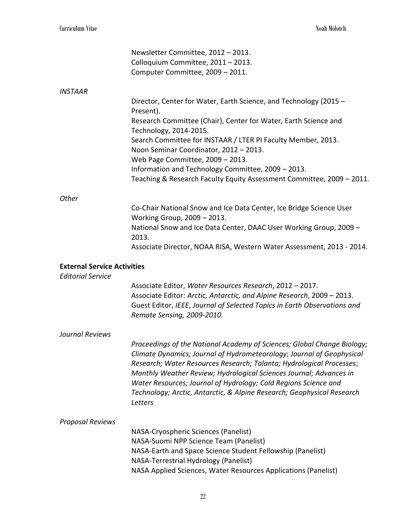|                                                                | Newsletter Committee, 2012 - 2013.                                                                                                                                                                                                                                                                                                                                                                                                                     |
|----------------------------------------------------------------|--------------------------------------------------------------------------------------------------------------------------------------------------------------------------------------------------------------------------------------------------------------------------------------------------------------------------------------------------------------------------------------------------------------------------------------------------------|
|                                                                | Colloquium Committee, 2011 - 2013.                                                                                                                                                                                                                                                                                                                                                                                                                     |
|                                                                | Computer Committee, 2009 - 2011.                                                                                                                                                                                                                                                                                                                                                                                                                       |
| <b>INSTAAR</b>                                                 |                                                                                                                                                                                                                                                                                                                                                                                                                                                        |
|                                                                | Director, Center for Water, Earth Science, and Technology (2015 -<br>Present).                                                                                                                                                                                                                                                                                                                                                                         |
|                                                                | Research Committee (Chair), Center for Water, Earth Science and<br>Technology, 2014-2015.                                                                                                                                                                                                                                                                                                                                                              |
|                                                                | Search Committee for INSTAAR / LTER PI Faculty Member, 2013.<br>Noon Seminar Coordinator, 2012 - 2013.                                                                                                                                                                                                                                                                                                                                                 |
|                                                                | Web Page Committee, 2009 - 2013.                                                                                                                                                                                                                                                                                                                                                                                                                       |
|                                                                | Information and Technology Committee, 2009 - 2013.                                                                                                                                                                                                                                                                                                                                                                                                     |
|                                                                | Teaching & Research Faculty Equity Assessment Committee, 2009 - 2011.                                                                                                                                                                                                                                                                                                                                                                                  |
| Other                                                          |                                                                                                                                                                                                                                                                                                                                                                                                                                                        |
|                                                                | Co-Chair National Snow and Ice Data Center, Ice Bridge Science User<br>Working Group, 2009 - 2013.                                                                                                                                                                                                                                                                                                                                                     |
|                                                                | National Snow and Ice Data Center, DAAC User Working Group, 2009 -<br>2013.                                                                                                                                                                                                                                                                                                                                                                            |
|                                                                | Associate Director, NOAA RISA, Western Water Assessment, 2013 - 2014.                                                                                                                                                                                                                                                                                                                                                                                  |
| <b>External Service Activities</b><br><b>Editorial Service</b> |                                                                                                                                                                                                                                                                                                                                                                                                                                                        |
|                                                                | Associate Editor, Water Resources Research, 2012 - 2017.<br>Associate Editor: Arctic, Antarctic, and Alpine Research, 2009 - 2013.<br>Guest Editor, IEEE, Journal of Selected Topics in Earth Observations and<br>Remote Sensing, 2009-2010.                                                                                                                                                                                                           |
| Journal Reviews                                                |                                                                                                                                                                                                                                                                                                                                                                                                                                                        |
|                                                                | Proceedings of the National Academy of Sciences; Global Change Biology;<br>Climate Dynamics; Journal of Hydrometeorology; Journal of Geophysical<br>Research; Water Resources Research; Talanta; Hydrological Processes;<br>Monthly Weather Review; Hydrological Sciences Journal; Advances in<br>Water Resources; Journal of Hydrology; Cold Regions Science and<br>Technology; Arctic, Antarctic, & Alpine Research; Geophysical Research<br>Letters |
| <b>Proposal Reviews</b>                                        |                                                                                                                                                                                                                                                                                                                                                                                                                                                        |
|                                                                | NASA-Cryospheric Sciences (Panelist)                                                                                                                                                                                                                                                                                                                                                                                                                   |
|                                                                | NASA-Suomi NPP Science Team (Panelist)                                                                                                                                                                                                                                                                                                                                                                                                                 |
|                                                                | NASA-Earth and Space Science Student Fellowship (Panelist)<br>NASA-Terrestrial Hydrology (Panelist)                                                                                                                                                                                                                                                                                                                                                    |
|                                                                | NASA Applied Sciences, Water Resources Applications (Panelist)                                                                                                                                                                                                                                                                                                                                                                                         |